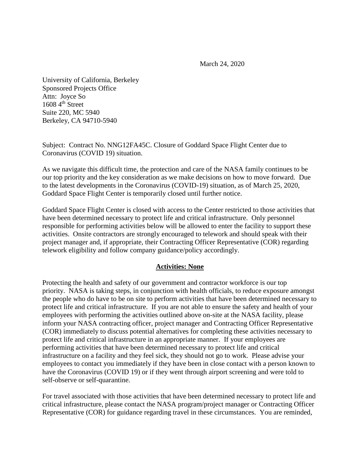March 24, 2020

University of California, Berkeley Sponsored Projects Office Attn: Joyce So  $16084$ <sup>th</sup> Street Suite 220, MC 5940 Berkeley, CA 94710-5940

Subject: Contract No. NNG12FA45C. Closure of Goddard Space Flight Center due to Coronavirus (COVID 19) situation.

As we navigate this difficult time, the protection and care of the NASA family continues to be our top priority and the key consideration as we make decisions on how to move forward. Due to the latest developments in the Coronavirus (COVID-19) situation, as of March 25, 2020, Goddard Space Flight Center is temporarily closed until further notice.

Goddard Space Flight Center is closed with access to the Center restricted to those activities that have been determined necessary to protect life and critical infrastructure. Only personnel responsible for performing activities below will be allowed to enter the facility to support these activities. Onsite contractors are strongly encouraged to telework and should speak with their project manager and, if appropriate, their Contracting Officer Representative (COR) regarding telework eligibility and follow company guidance/policy accordingly.

## **Activities: None**

Protecting the health and safety of our government and contractor workforce is our top priority. NASA is taking steps, in conjunction with health officials, to reduce exposure amongst the people who do have to be on site to perform activities that have been determined necessary to protect life and critical infrastructure. If you are not able to ensure the safety and health of your employees with performing the activities outlined above on-site at the NASA facility, please inform your NASA contracting officer, project manager and Contracting Officer Representative (COR) immediately to discuss potential alternatives for completing these activities necessary to protect life and critical infrastructure in an appropriate manner. If your employees are performing activities that have been determined necessary to protect life and critical infrastructure on a facility and they feel sick, they should not go to work.Please advise your employees to contact you immediately if they have been in close contact with a person known to have the Coronavirus (COVID 19) or if they went through airport screening and were told to self-observe or self-quarantine.

For travel associated with those activities that have been determined necessary to protect life and critical infrastructure, please contact the NASA program/project manager or Contracting Officer Representative (COR) for guidance regarding travel in these circumstances. You are reminded,